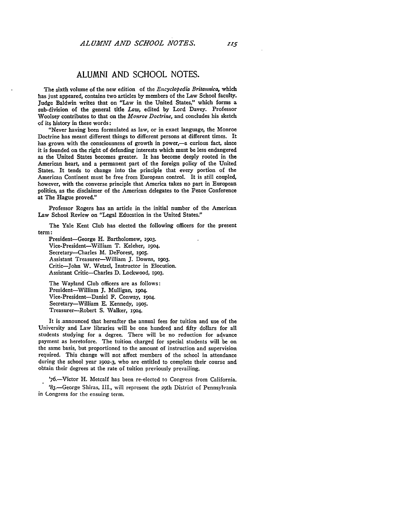## ALUMNI AND SCHOOL NOTES.

The sixth volume of the new edition of the *Encyclopedia Britannica,* which has just appeared, contains two articles **by** members of the Law School faculty. Judge Baldwin writes that on "Law in the United States," which forms a sub-division of the general title *Law,* edited **by** Lord Davey. Professor Woolsey contributes to that on the *Monroe Doctrine,* and concludes his sketch of its history in these words:

"Never having been formulated as law, or in exact language, the Monroe Doctrine has meant different things to different persons at different times. It has grown with the consciousness of growth in power,-a curious fact, since it is founded on the right of defending interests which must be less endangered as the United States becomes greater. It has become deeply rooted in the American heart, and a permanent part of the foreign policy of the United States. It tends to change into the principle that every portion of the American Continent must be free from European control. It is still coupled, however, with the converse principle that America takes no part in European politics, as the disclaimer of the American delegates to the Peace Conference at The Hague proved."

Professor Rogers has an article in the initial number of the American Law School Review on "Legal Education in the United States."

The Yale Kent Club has elected the following officers for the present term:

President-George H. Bartholomew, **i93.** Vice-President-William T. Keleher, i9O4. Secretary--Charles M. DeForest, **i9o5.** Assistant Treasurer-William **J.** Downs, i9o3. Critic-John W. Wetzel, Instructor in Elocution. Assistant Critic-Charles **D.** Lockwood, **1903.**

The Wayland Club officers are as follows: President-William **J.** Mulligan, i9O4. Vice-President-Daniel F. Conway, i9o4. Secretary-William **E.** Kennedy, i9O5. Treasurer-Robert S. Walker, **1904.**

It is .announced that hereafter the annual fees for tuition and use of the University and Law libraries will be one hundred and fifty dollars for all students studying for a degree. There will be no reduction for advance payment as heretofore. The tuition charged for special students will be on the same basis, but proportioned to the amount of instruction and supervision required. This change will not affect members of the school in attendance during the school year **i9o2-3,** who are entitled to complete their course and obtain their degrees at the rate of tuition previously prevailing.

'76.-Victor H. Metcalf has been re-elected to Congress from California. '83.-George Shiras, III., will represent the 29th District of Pennsylvania in Congress for the ensuing term.